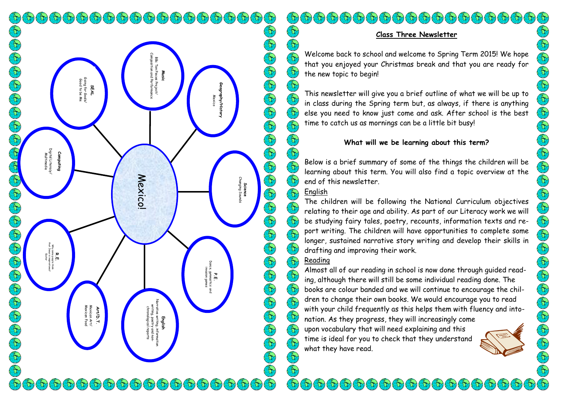$\left(\frac{2}{3}\right)$  $\mathcal{F}_{\mathcal{D}}(\mathfrak{h})(\mathfrak{h})(\mathfrak{h})(\mathfrak{h})(\mathfrak{h})(\mathfrak{h})(\mathfrak{h})(\mathfrak{h})(\mathfrak{h})(\mathfrak{h})(\mathfrak{h})(\mathfrak{h})(\mathfrak{h})(\mathfrak{h})(\mathfrak{h})$ Composition and Performance BBc Ten Pieces Project/ **Music** Going for Goals/<br>Good to be Me Going for Goals/ Good to be Me **Geography/History SEAL** Mexico Digital Literacy/<br>Multimedia Digital Literacy/ **Computing** Multimedia **Mexico! Science**<br>Changing Soul Changing Sounds that Jesus is inspirational/ Why some people think **R.**<br>Filipped<br>Filipped Dance, gymnastics and invasion games P.E.<br><sup>2</sup>, gymnastics<br>1 vasion games Narrative writing, information writing, poetry and non-<br>chronological reports<br>**Art/D.T.**<br>Mexican Food<br>Mexican Food **English**  $\mathfrak{F}(\mathfrak{H}(\mathfrak{H}(\mathfrak{H}(\mathfrak{H}(\mathfrak{h}(\mathfrak{h}(\mathfrak{h}(\mathfrak{h}(\mathfrak{h}(\mathfrak{h}(\mathfrak{h}(\mathfrak{h}(\mathfrak{h}(\mathfrak{h})))\mathfrak{h}(\mathfrak{h})))$  $\mathcal{L}(\mathbf{t})$   $\mathcal{L}(\mathbf{t})$ iar,  $\alpha$ i Ori

# **Class Three Newsletter**

Welcome back to school and welcome to Spring Term 2015! We hope that you enjoyed your Christmas break and that you are ready for the new topic to begin!

This newsletter will give you a brief outline of what we will be up to in class during the Spring term but, as always, if there is anything else you need to know just come and ask. After school is the best time to catch us as mornings can be a little bit busy!

# **What will we be learning about this term?**

Below is a brief summary of some of the things the children will be learning about this term. You will also find a topic overview at the end of this newsletter.

## English

Er)

G

 $\Theta$ 

 $\bigotimes$ E

 $\left(\epsilon\right)$  $\left(\begin{matrix} \overline{\mathbf{C}} \\ \mathbf{C} \end{matrix}\right)$ 

E  $\left(\overline{\mathbf{t}}\right)$ 

E

 $\left(\begin{smallmatrix} x_1 \\ y_1 \end{smallmatrix}\right)$ E

 $\left(\frac{2}{3}\right)$ 

 $\bigl(\bigl\{ \bigl\{ \bigr\} \bigr)$ 

 $\left(\begin{matrix} 5 \\ 1 \end{matrix}\right)$ 

 $\Theta$ 

E E

 $\left(\frac{1}{2}\right)$ 

O O O O O O O O O O O

 $\mathfrak{F}$ 

E

The children will be following the National Curriculum objectives relating to their age and ability. As part of our Literacy work we will be studying fairy tales, poetry, recounts, information texts and report writing. The children will have opportunities to complete some longer, sustained narrative story writing and develop their skills in drafting and improving their work.

# Reading

(Er) Almost all of our reading in school is now done through guided read- $\left(\begin{matrix} 2 \\ 1 \end{matrix}\right)$ ing, although there will still be some individual reading done. The  $\left(\begin{matrix} 2 \\ 1 \end{matrix}\right)$ books are colour banded and we will continue to encourage the children to change their own books. We would encourage you to read  $\mathbb{C}$ with your child frequently as this helps them with fluency and into- $\left(\begin{matrix} \epsilon_1 \\ \epsilon_2 \end{matrix}\right)$ nation. As they progress, they will increasingly come  $\left(\begin{matrix} 2 \\ 1 \end{matrix}\right)$ 

> $\mathbb{C}^{\mathcal{N}}$ -UV)

upon vocabulary that will need explaining and this time is ideal for you to check that they understand what they have read.

 $\mathcal{F}_{\mathcal{D}}(\mathbf{b})\mathcal{F}_{\mathcal{D}}(\mathbf{b})\mathcal{F}_{\mathcal{D}}(\mathbf{b})\mathcal{F}_{\mathcal{D}}(\mathbf{b})\mathcal{F}_{\mathcal{D}}(\mathbf{b})\mathcal{F}_{\mathcal{D}}(\mathbf{b})\mathcal{F}_{\mathcal{D}}(\mathbf{b})\mathcal{F}_{\mathcal{D}}(\mathbf{b})$